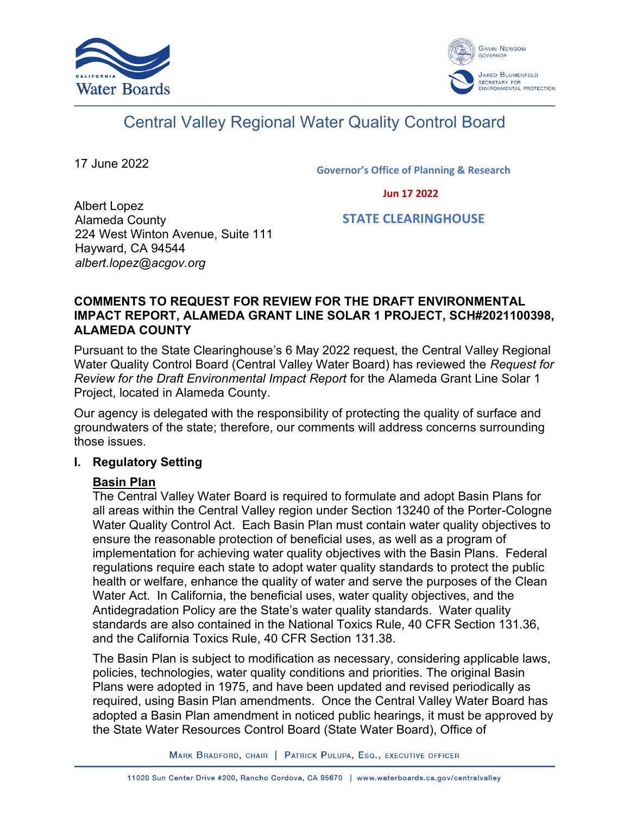



# Central Valley Regional Water Quality Control Board

17 June 2022

**Governor's Office of Planning & Research**

 **Jun 17 2022**

Albert Lopez Alameda County 224 West Winton Avenue, Suite 111 Hayward, CA 94544 *albert.lopez@acgov.org*

 **STATE CLEARINGHOUSE**

#### **COMMENTS TO REQUEST FOR REVIEW FOR THE DRAFT ENVIRONMENTAL IMPACT REPORT, ALAMEDA GRANT LINE SOLAR 1 PROJECT, SCH#2021100398, ALAMEDA COUNTY**

Pursuant to the State Clearinghouse's 6 May 2022 request, the Central Valley Regional Water Quality Control Board (Central Valley Water Board) has reviewed the *Request for Review for the Draft Environmental Impact Report* for the Alameda Grant Line Solar 1 Project, located in Alameda County.

Our agency is delegated with the responsibility of protecting the quality of surface and groundwaters of the state; therefore, our comments will address concerns surrounding those issues.

## **I. Regulatory Setting**

## **Basin Plan**

The Central Valley Water Board is required to formulate and adopt Basin Plans for all areas within the Central Valley region under Section 13240 of the Porter-Cologne Water Quality Control Act. Each Basin Plan must contain water quality objectives to ensure the reasonable protection of beneficial uses, as well as a program of implementation for achieving water quality objectives with the Basin Plans. Federal regulations require each state to adopt water quality standards to protect the public health or welfare, enhance the quality of water and serve the purposes of the Clean Water Act. In California, the beneficial uses, water quality objectives, and the Antidegradation Policy are the State's water quality standards. Water quality standards are also contained in the National Toxics Rule, 40 CFR Section 131.36, and the California Toxics Rule, 40 CFR Section 131.38.

The Basin Plan is subject to modification as necessary, considering applicable laws, policies, technologies, water quality conditions and priorities. The original Basin Plans were adopted in 1975, and have been updated and revised periodically as required, using Basin Plan amendments. Once the Central Valley Water Board has adopted a Basin Plan amendment in noticed public hearings, it must be approved by the State Water Resources Control Board (State Water Board), Office of

MARK BRADFORD, CHAIR | PATRICK PULUPA, ESQ., EXECUTIVE OFFICER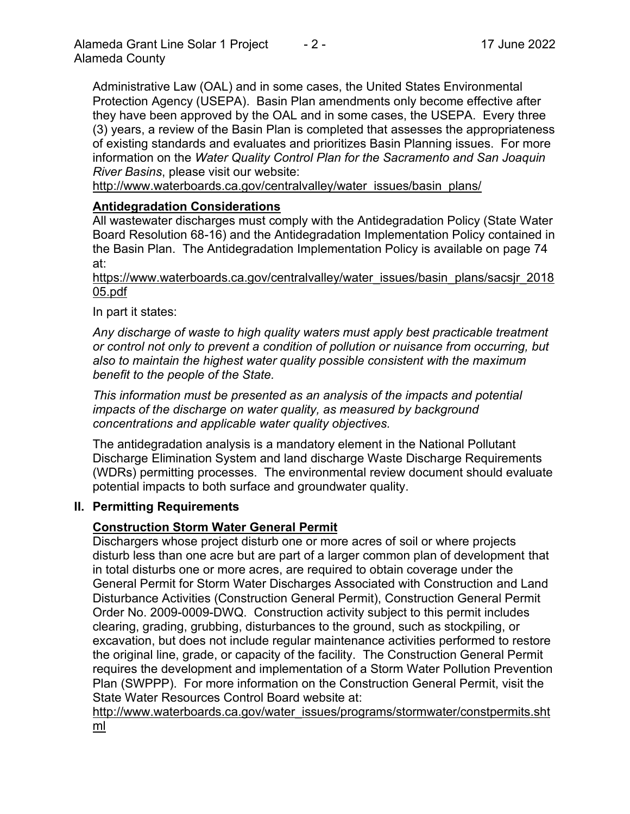Administrative Law (OAL) and in some cases, the United States Environmental Protection Agency (USEPA). Basin Plan amendments only become effective after they have been approved by the OAL and in some cases, the USEPA. Every three (3) years, a review of the Basin Plan is completed that assesses the appropriateness of existing standards and evaluates and prioritizes Basin Planning issues. For more information on the *Water Quality Control Plan for the Sacramento and San Joaquin River Basins*, please visit our website:

[http://www.waterboards.ca.gov/centralvalley/water\\_issues/basin\\_plans/](http://www.waterboards.ca.gov/centralvalley/water_issues/basin_plans/)

# **Antidegradation Considerations**

All wastewater discharges must comply with the Antidegradation Policy (State Water Board Resolution 68-16) and the Antidegradation Implementation Policy contained in the Basin Plan. The Antidegradation Implementation Policy is available on page 74 at:

https://www.waterboards.ca.gov/centralvalley/water\_issues/basin\_plans/sacsjr\_2018 05.pdf

In part it states:

*Any discharge of waste to high quality waters must apply best practicable treatment or control not only to prevent a condition of pollution or nuisance from occurring, but also to maintain the highest water quality possible consistent with the maximum benefit to the people of the State.*

*This information must be presented as an analysis of the impacts and potential impacts of the discharge on water quality, as measured by background concentrations and applicable water quality objectives.*

The antidegradation analysis is a mandatory element in the National Pollutant Discharge Elimination System and land discharge Waste Discharge Requirements (WDRs) permitting processes. The environmental review document should evaluate potential impacts to both surface and groundwater quality.

## **II. Permitting Requirements**

## **Construction Storm Water General Permit**

Dischargers whose project disturb one or more acres of soil or where projects disturb less than one acre but are part of a larger common plan of development that in total disturbs one or more acres, are required to obtain coverage under the General Permit for Storm Water Discharges Associated with Construction and Land Disturbance Activities (Construction General Permit), Construction General Permit Order No. 2009-0009-DWQ. Construction activity subject to this permit includes clearing, grading, grubbing, disturbances to the ground, such as stockpiling, or excavation, but does not include regular maintenance activities performed to restore the original line, grade, or capacity of the facility. The Construction General Permit requires the development and implementation of a Storm Water Pollution Prevention Plan (SWPPP). For more information on the Construction General Permit, visit the State Water Resources Control Board website at:

[http://www.waterboards.ca.gov/water\\_issues/programs/stormwater/constpermits.sht](http://www.waterboards.ca.gov/water_issues/programs/stormwater/constpermits.shtml) [ml](http://www.waterboards.ca.gov/water_issues/programs/stormwater/constpermits.shtml)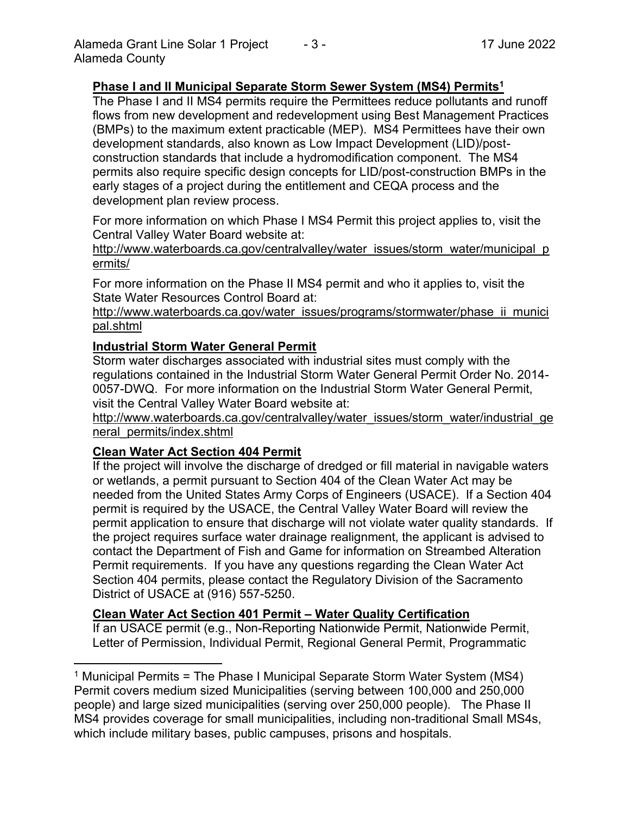#### **Phase I and II Municipal Separate Storm Sewer System (MS4) Permits<sup>1</sup>**

The Phase I and II MS4 permits require the Permittees reduce pollutants and runoff flows from new development and redevelopment using Best Management Practices (BMPs) to the maximum extent practicable (MEP). MS4 Permittees have their own development standards, also known as Low Impact Development (LID)/postconstruction standards that include a hydromodification component. The MS4 permits also require specific design concepts for LID/post-construction BMPs in the early stages of a project during the entitlement and CEQA process and the development plan review process.

For more information on which Phase I MS4 Permit this project applies to, visit the Central Valley Water Board website at:

http://www.waterboards.ca.gov/centralvalley/water\_issues/storm\_water/municipal\_p ermits/

For more information on the Phase II MS4 permit and who it applies to, visit the State Water Resources Control Board at:

http://www.waterboards.ca.gov/water\_issues/programs/stormwater/phase\_ii\_munici pal.shtml

#### **Industrial Storm Water General Permit**

Storm water discharges associated with industrial sites must comply with the regulations contained in the Industrial Storm Water General Permit Order No. 2014- 0057-DWQ. For more information on the Industrial Storm Water General Permit, visit the Central Valley Water Board website at:

http://www.waterboards.ca.gov/centralvalley/water\_issues/storm\_water/industrial\_ge neral\_permits/index.shtml

#### **Clean Water Act Section 404 Permit**

If the project will involve the discharge of dredged or fill material in navigable waters or wetlands, a permit pursuant to Section 404 of the Clean Water Act may be needed from the United States Army Corps of Engineers (USACE). If a Section 404 permit is required by the USACE, the Central Valley Water Board will review the permit application to ensure that discharge will not violate water quality standards. If the project requires surface water drainage realignment, the applicant is advised to contact the Department of Fish and Game for information on Streambed Alteration Permit requirements. If you have any questions regarding the Clean Water Act Section 404 permits, please contact the Regulatory Division of the Sacramento District of USACE at (916) 557-5250.

#### **Clean Water Act Section 401 Permit – Water Quality Certification**

If an USACE permit (e.g., Non-Reporting Nationwide Permit, Nationwide Permit, Letter of Permission, Individual Permit, Regional General Permit, Programmatic

<sup>&</sup>lt;sup>1</sup> Municipal Permits = The Phase I Municipal Separate Storm Water System (MS4) Permit covers medium sized Municipalities (serving between 100,000 and 250,000 people) and large sized municipalities (serving over 250,000 people). The Phase II MS4 provides coverage for small municipalities, including non-traditional Small MS4s, which include military bases, public campuses, prisons and hospitals.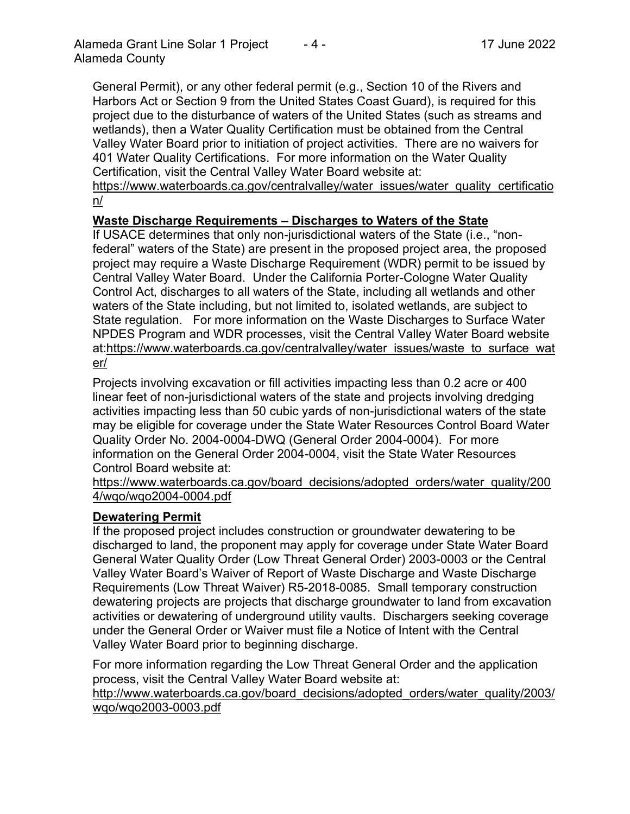General Permit), or any other federal permit (e.g., Section 10 of the Rivers and Harbors Act or Section 9 from the United States Coast Guard), is required for this project due to the disturbance of waters of the United States (such as streams and wetlands), then a Water Quality Certification must be obtained from the Central Valley Water Board prior to initiation of project activities. There are no waivers for 401 Water Quality Certifications. For more information on the Water Quality Certification, visit the Central Valley Water Board website at:

https://www.waterboards.ca.gov/centralvalley/water\_issues/water\_quality\_certificatio n/

## **Waste Discharge Requirements – Discharges to Waters of the State**

If USACE determines that only non-jurisdictional waters of the State (i.e., "nonfederal" waters of the State) are present in the proposed project area, the proposed project may require a Waste Discharge Requirement (WDR) permit to be issued by Central Valley Water Board. Under the California Porter-Cologne Water Quality Control Act, discharges to all waters of the State, including all wetlands and other waters of the State including, but not limited to, isolated wetlands, are subject to State regulation. For more information on the Waste Discharges to Surface Water NPDES Program and WDR processes, visit the Central Valley Water Board website at:https://www.waterboards.ca.gov/centralvalley/water\_issues/waste\_to\_surface\_wat er/

Projects involving excavation or fill activities impacting less than 0.2 acre or 400 linear feet of non-jurisdictional waters of the state and projects involving dredging activities impacting less than 50 cubic yards of non-jurisdictional waters of the state may be eligible for coverage under the State Water Resources Control Board Water Quality Order No. 2004-0004-DWQ (General Order 2004-0004). For more information on the General Order 2004-0004, visit the State Water Resources Control Board website at:

https://www.waterboards.ca.gov/board\_decisions/adopted\_orders/water\_quality/200 4/wqo/wqo2004-0004.pdf

## **Dewatering Permit**

If the proposed project includes construction or groundwater dewatering to be discharged to land, the proponent may apply for coverage under State Water Board General Water Quality Order (Low Threat General Order) 2003-0003 or the Central Valley Water Board's Waiver of Report of Waste Discharge and Waste Discharge Requirements (Low Threat Waiver) R5-2018-0085. Small temporary construction dewatering projects are projects that discharge groundwater to land from excavation activities or dewatering of underground utility vaults. Dischargers seeking coverage under the General Order or Waiver must file a Notice of Intent with the Central Valley Water Board prior to beginning discharge.

For more information regarding the Low Threat General Order and the application process, visit the Central Valley Water Board website at:

http://www.waterboards.ca.gov/board decisions/adopted orders/water quality/2003/ wqo/wqo2003-0003.pdf